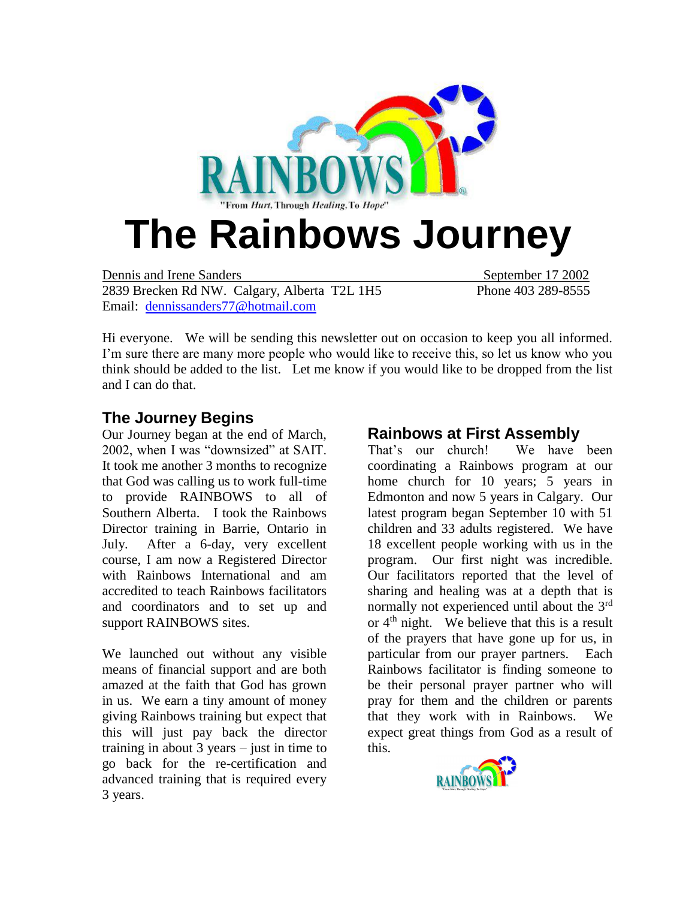

Dennis and Irene Sanders September 17 2002 2839 Brecken Rd NW. Calgary, Alberta T2L 1H5 Phone 403 289-8555 Email: [dennissanders77@hotmail.com](mailto:dennissanders77@hotmail.com)

Hi everyone. We will be sending this newsletter out on occasion to keep you all informed. I'm sure there are many more people who would like to receive this, so let us know who you think should be added to the list. Let me know if you would like to be dropped from the list and I can do that.

#### **The Journey Begins**

Our Journey began at the end of March, 2002, when I was "downsized" at SAIT. It took me another 3 months to recognize that God was calling us to work full-time to provide RAINBOWS to all of Southern Alberta. I took the Rainbows Director training in Barrie, Ontario in July. After a 6-day, very excellent course, I am now a Registered Director with Rainbows International and am accredited to teach Rainbows facilitators and coordinators and to set up and support RAINBOWS sites.

We launched out without any visible means of financial support and are both amazed at the faith that God has grown in us. We earn a tiny amount of money giving Rainbows training but expect that this will just pay back the director training in about 3 years – just in time to go back for the re-certification and advanced training that is required every 3 years.

#### **Rainbows at First Assembly**

That's our church! We have been coordinating a Rainbows program at our home church for 10 years; 5 years in Edmonton and now 5 years in Calgary. Our latest program began September 10 with 51 children and 33 adults registered. We have 18 excellent people working with us in the program. Our first night was incredible. Our facilitators reported that the level of sharing and healing was at a depth that is normally not experienced until about the 3<sup>rd</sup> or  $4<sup>th</sup>$  night. We believe that this is a result of the prayers that have gone up for us, in particular from our prayer partners. Each Rainbows facilitator is finding someone to be their personal prayer partner who will pray for them and the children or parents that they work with in Rainbows. We expect great things from God as a result of this.

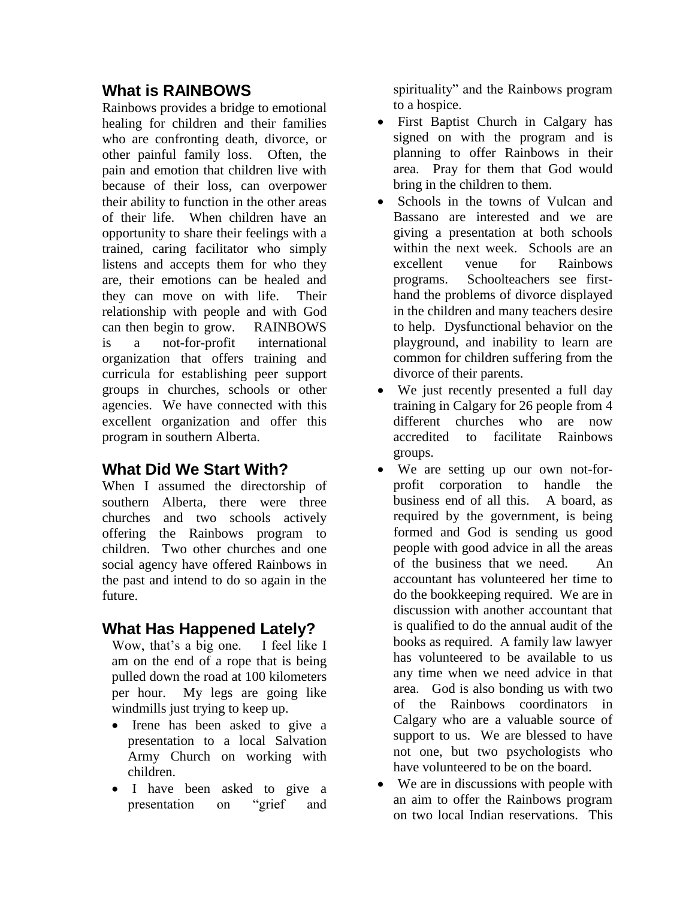## **What is RAINBOWS**

Rainbows provides a bridge to emotional healing for children and their families who are confronting death, divorce, or other painful family loss. Often, the pain and emotion that children live with because of their loss, can overpower their ability to function in the other areas of their life. When children have an opportunity to share their feelings with a trained, caring facilitator who simply listens and accepts them for who they are, their emotions can be healed and they can move on with life. Their relationship with people and with God can then begin to grow. RAINBOWS is a not-for-profit international organization that offers training and curricula for establishing peer support groups in churches, schools or other agencies. We have connected with this excellent organization and offer this program in southern Alberta.

## **What Did We Start With?**

When I assumed the directorship of southern Alberta, there were three churches and two schools actively offering the Rainbows program to children. Two other churches and one social agency have offered Rainbows in the past and intend to do so again in the future.

## **What Has Happened Lately?**

Wow, that's a big one. I feel like I am on the end of a rope that is being pulled down the road at 100 kilometers per hour. My legs are going like windmills just trying to keep up.

- Irene has been asked to give a presentation to a local Salvation Army Church on working with children.
- I have been asked to give a presentation on "grief and

spirituality" and the Rainbows program to a hospice.

- First Baptist Church in Calgary has signed on with the program and is planning to offer Rainbows in their area. Pray for them that God would bring in the children to them.
- Schools in the towns of Vulcan and Bassano are interested and we are giving a presentation at both schools within the next week. Schools are an excellent venue for Rainbows programs. Schoolteachers see firsthand the problems of divorce displayed in the children and many teachers desire to help. Dysfunctional behavior on the playground, and inability to learn are common for children suffering from the divorce of their parents.
- We just recently presented a full day training in Calgary for 26 people from 4 different churches who are now accredited to facilitate Rainbows groups.
- We are setting up our own not-forprofit corporation to handle the business end of all this. A board, as required by the government, is being formed and God is sending us good people with good advice in all the areas of the business that we need. An accountant has volunteered her time to do the bookkeeping required. We are in discussion with another accountant that is qualified to do the annual audit of the books as required. A family law lawyer has volunteered to be available to us any time when we need advice in that area. God is also bonding us with two of the Rainbows coordinators in Calgary who are a valuable source of support to us. We are blessed to have not one, but two psychologists who have volunteered to be on the board.
- We are in discussions with people with an aim to offer the Rainbows program on two local Indian reservations. This